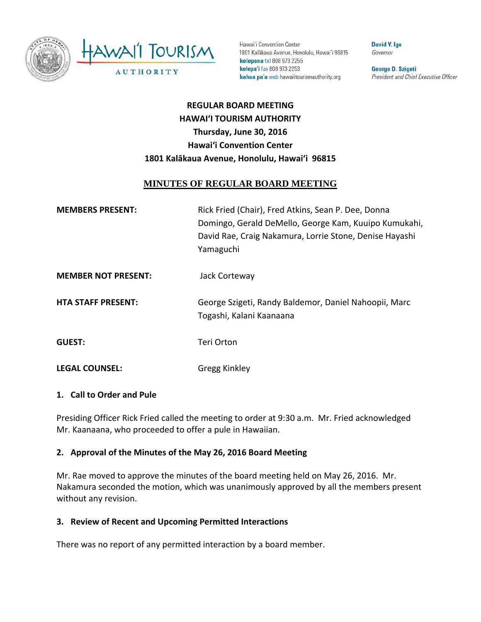

Hawai'i Convention Center 1801 Kalākaua Avenue, Honolulu, Hawai'i 96815 kelepona tel 808 973 2255 kelepa'i fax 808 973 2253 kahua pa'a web hawaiitourismauthority.org

David Y. Ige Governor

George D. Szigeti President and Chief Executive Officer

# **REGULAR BOARD MEETING HAWAI'I TOURISM AUTHORITY Thursday, June 30, 2016 Hawai'i Convention Center 1801 Kalākaua Avenue, Honolulu, Hawai'i 96815**

# **MINUTES OF REGULAR BOARD MEETING**

| <b>MEMBERS PRESENT:</b>    | Rick Fried (Chair), Fred Atkins, Sean P. Dee, Donna<br>Domingo, Gerald DeMello, George Kam, Kuuipo Kumukahi,<br>David Rae, Craig Nakamura, Lorrie Stone, Denise Hayashi<br>Yamaguchi |
|----------------------------|--------------------------------------------------------------------------------------------------------------------------------------------------------------------------------------|
| <b>MEMBER NOT PRESENT:</b> | Jack Corteway                                                                                                                                                                        |
| <b>HTA STAFF PRESENT:</b>  | George Szigeti, Randy Baldemor, Daniel Nahoopii, Marc<br>Togashi, Kalani Kaanaana                                                                                                    |
| <b>GUEST:</b>              | Teri Orton                                                                                                                                                                           |
| <b>LEGAL COUNSEL:</b>      | Gregg Kinkley                                                                                                                                                                        |

#### **1. Call to Order and Pule**

Presiding Officer Rick Fried called the meeting to order at 9:30 a.m. Mr. Fried acknowledged Mr. Kaanaana, who proceeded to offer a pule in Hawaiian.

#### **2. Approval of the Minutes of the May 26, 2016 Board Meeting**

Mr. Rae moved to approve the minutes of the board meeting held on May 26, 2016. Mr. Nakamura seconded the motion, which was unanimously approved by all the members present without any revision.

#### **3. Review of Recent and Upcoming Permitted Interactions**

There was no report of any permitted interaction by a board member.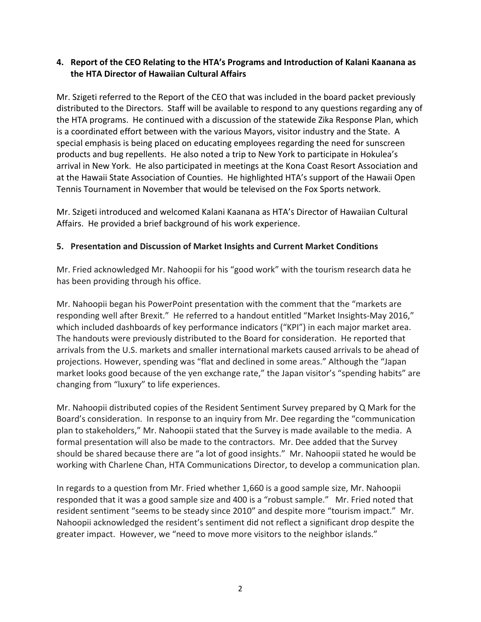#### **4. Report of the CEO Relating to the HTA's Programs and Introduction of Kalani Kaanana as the HTA Director of Hawaiian Cultural Affairs**

Mr. Szigeti referred to the Report of the CEO that was included in the board packet previously distributed to the Directors. Staff will be available to respond to any questions regarding any of the HTA programs. He continued with a discussion of the statewide Zika Response Plan, which is a coordinated effort between with the various Mayors, visitor industry and the State. A special emphasis is being placed on educating employees regarding the need for sunscreen products and bug repellents. He also noted a trip to New York to participate in Hokulea's arrival in New York. He also participated in meetings at the Kona Coast Resort Association and at the Hawaii State Association of Counties. He highlighted HTA's support of the Hawaii Open Tennis Tournament in November that would be televised on the Fox Sports network.

Mr. Szigeti introduced and welcomed Kalani Kaanana as HTA's Director of Hawaiian Cultural Affairs. He provided a brief background of his work experience.

## **5. Presentation and Discussion of Market Insights and Current Market Conditions**

Mr. Fried acknowledged Mr. Nahoopii for his "good work" with the tourism research data he has been providing through his office.

Mr. Nahoopii began his PowerPoint presentation with the comment that the "markets are responding well after Brexit." He referred to a handout entitled "Market Insights‐May 2016," which included dashboards of key performance indicators ("KPI") in each major market area. The handouts were previously distributed to the Board for consideration. He reported that arrivals from the U.S. markets and smaller international markets caused arrivals to be ahead of projections. However, spending was "flat and declined in some areas." Although the "Japan market looks good because of the yen exchange rate," the Japan visitor's "spending habits" are changing from "luxury" to life experiences.

Mr. Nahoopii distributed copies of the Resident Sentiment Survey prepared by Q Mark for the Board's consideration. In response to an inquiry from Mr. Dee regarding the "communication plan to stakeholders," Mr. Nahoopii stated that the Survey is made available to the media. A formal presentation will also be made to the contractors. Mr. Dee added that the Survey should be shared because there are "a lot of good insights." Mr. Nahoopii stated he would be working with Charlene Chan, HTA Communications Director, to develop a communication plan.

In regards to a question from Mr. Fried whether 1,660 is a good sample size, Mr. Nahoopii responded that it was a good sample size and 400 is a "robust sample." Mr. Fried noted that resident sentiment "seems to be steady since 2010" and despite more "tourism impact." Mr. Nahoopii acknowledged the resident's sentiment did not reflect a significant drop despite the greater impact. However, we "need to move more visitors to the neighbor islands."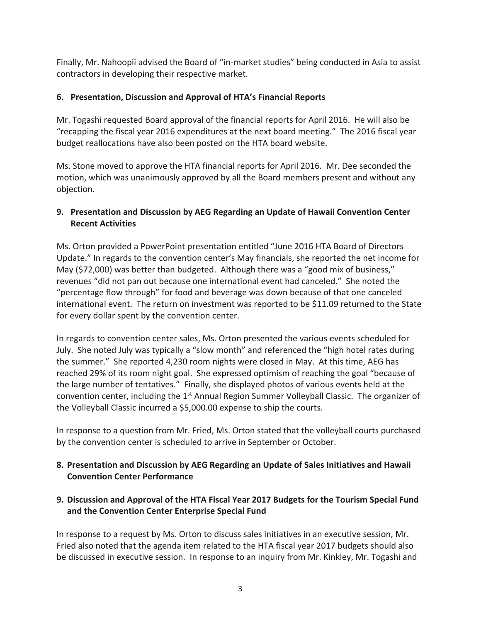Finally, Mr. Nahoopii advised the Board of "in‐market studies" being conducted in Asia to assist contractors in developing their respective market.

## **6. Presentation, Discussion and Approval of HTA's Financial Reports**

Mr. Togashi requested Board approval of the financial reports for April 2016. He will also be "recapping the fiscal year 2016 expenditures at the next board meeting." The 2016 fiscal year budget reallocations have also been posted on the HTA board website.

Ms. Stone moved to approve the HTA financial reports for April 2016. Mr. Dee seconded the motion, which was unanimously approved by all the Board members present and without any objection.

# **9. Presentation and Discussion by AEG Regarding an Update of Hawaii Convention Center Recent Activities**

Ms. Orton provided a PowerPoint presentation entitled "June 2016 HTA Board of Directors Update." In regards to the convention center's May financials, she reported the net income for May (\$72,000) was better than budgeted. Although there was a "good mix of business," revenues "did not pan out because one international event had canceled." She noted the "percentage flow through" for food and beverage was down because of that one canceled international event. The return on investment was reported to be \$11.09 returned to the State for every dollar spent by the convention center.

In regards to convention center sales, Ms. Orton presented the various events scheduled for July. She noted July was typically a "slow month" and referenced the "high hotel rates during the summer." She reported 4,230 room nights were closed in May. At this time, AEG has reached 29% of its room night goal. She expressed optimism of reaching the goal "because of the large number of tentatives." Finally, she displayed photos of various events held at the convention center, including the 1<sup>st</sup> Annual Region Summer Volleyball Classic. The organizer of the Volleyball Classic incurred a \$5,000.00 expense to ship the courts.

In response to a question from Mr. Fried, Ms. Orton stated that the volleyball courts purchased by the convention center is scheduled to arrive in September or October.

## **8. Presentation and Discussion by AEG Regarding an Update of Sales Initiatives and Hawaii Convention Center Performance**

**9. Discussion and Approval of the HTA Fiscal Year 2017 Budgets for the Tourism Special Fund and the Convention Center Enterprise Special Fund**

In response to a request by Ms. Orton to discuss sales initiatives in an executive session, Mr. Fried also noted that the agenda item related to the HTA fiscal year 2017 budgets should also be discussed in executive session. In response to an inquiry from Mr. Kinkley, Mr. Togashi and